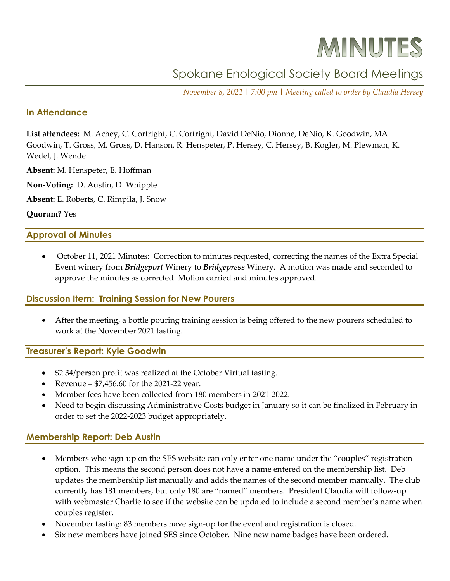# MINUTES

## Spokane Enological Society Board Meetings

*November 8, 2021 | 7:00 pm | Meeting called to order by Claudia Hersey*

#### **In Attendance**

**List attendees:** M. Achey, C. Cortright, C. Cortright, David DeNio, Dionne, DeNio, K. Goodwin, MA Goodwin, T. Gross, M. Gross, D. Hanson, R. Henspeter, P. Hersey, C. Hersey, B. Kogler, M. Plewman, K. Wedel, J. Wende

**Absent:** M. Henspeter, E. Hoffman

**Non-Voting:** D. Austin, D. Whipple

**Absent:** E. Roberts, C. Rimpila, J. Snow

**Quorum?** Yes

#### **Approval of Minutes**

• October 11, 2021 Minutes: Correction to minutes requested, correcting the names of the Extra Special Event winery from *Bridgeport* Winery to *Bridgepress* Winery. A motion was made and seconded to approve the minutes as corrected. Motion carried and minutes approved.

#### **Discussion Item: Training Session for New Pourers**

• After the meeting, a bottle pouring training session is being offered to the new pourers scheduled to work at the November 2021 tasting.

#### **Treasurer's Report: Kyle Goodwin**

- \$2.34/person profit was realized at the October Virtual tasting.
- Revenue =  $$7,456.60$  for the 2021-22 year.
- Member fees have been collected from 180 members in 2021-2022.
- Need to begin discussing Administrative Costs budget in January so it can be finalized in February in order to set the 2022-2023 budget appropriately.

#### **Membership Report: Deb Austin**

- Members who sign-up on the SES website can only enter one name under the "couples" registration option. This means the second person does not have a name entered on the membership list. Deb updates the membership list manually and adds the names of the second member manually. The club currently has 181 members, but only 180 are "named" members. President Claudia will follow-up with webmaster Charlie to see if the website can be updated to include a second member's name when couples register.
- November tasting: 83 members have sign-up for the event and registration is closed.
- Six new members have joined SES since October. Nine new name badges have been ordered.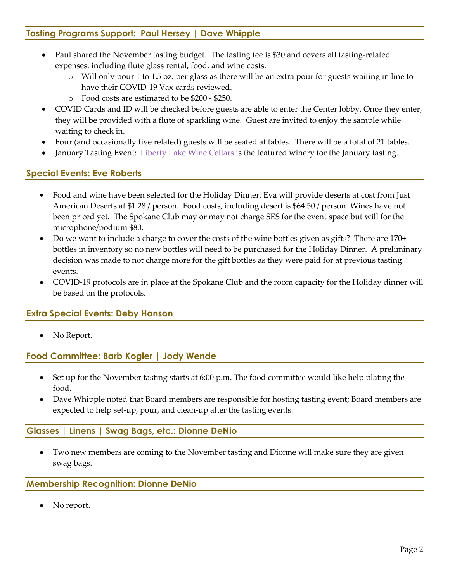### **Tasting Programs Support: Paul Hersey | Dave Whipple**

- Paul shared the November tasting budget. The tasting fee is \$30 and covers all tasting-related expenses, including flute glass rental, food, and wine costs.
	- Will only pour 1 to 1.5 oz. per glass as there will be an extra pour for guests waiting in line to have their COVID-19 Vax cards reviewed.
	- o Food costs are estimated to be \$200 \$250.
- COVID Cards and ID will be checked before guests are able to enter the Center lobby. Once they enter, they will be provided with a flute of sparkling wine. Guest are invited to enjoy the sample while waiting to check in.
- Four (and occasionally five related) guests will be seated at tables. There will be a total of 21 tables.
- January Tasting Event: [Liberty Lake Wine Cellars](https://www.libertylakewinecellars.com/) is the featured winery for the January tasting.

#### **Special Events: Eve Roberts**

- Food and wine have been selected for the Holiday Dinner. Eva will provide deserts at cost from Just American Deserts at \$1.28 / person. Food costs, including desert is \$64.50 / person. Wines have not been priced yet. The Spokane Club may or may not charge SES for the event space but will for the microphone/podium \$80.
- Do we want to include a charge to cover the costs of the wine bottles given as gifts? There are 170+ bottles in inventory so no new bottles will need to be purchased for the Holiday Dinner. A preliminary decision was made to not charge more for the gift bottles as they were paid for at previous tasting events.
- COVID-19 protocols are in place at the Spokane Club and the room capacity for the Holiday dinner will be based on the protocols.

#### **Extra Special Events: Deby Hanson**

No Report.

#### **Food Committee: Barb Kogler | Jody Wende**

- Set up for the November tasting starts at 6:00 p.m. The food committee would like help plating the food.
- Dave Whipple noted that Board members are responsible for hosting tasting event; Board members are expected to help set-up, pour, and clean-up after the tasting events.

#### **Glasses | Linens | Swag Bags, etc.: Dionne DeNio**

• Two new members are coming to the November tasting and Dionne will make sure they are given swag bags.

#### **Membership Recognition: Dionne DeNio**

No report.